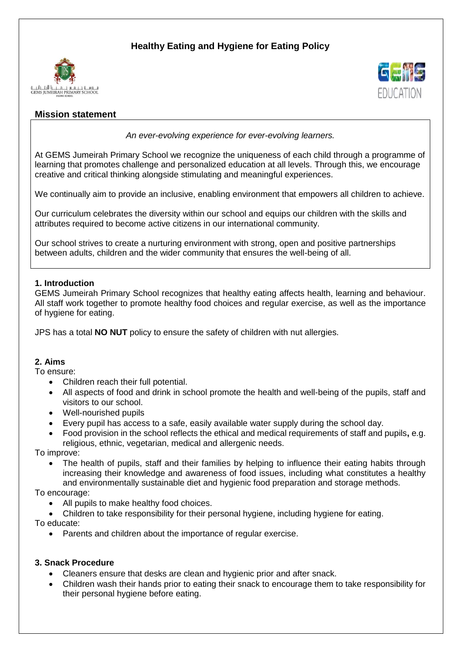# **Healthy Eating and Hygiene for Eating Policy**





# **Mission statement**

*An ever-evolving experience for ever-evolving learners.*

At GEMS Jumeirah Primary School we recognize the uniqueness of each child through a programme of learning that promotes challenge and personalized education at all levels. Through this, we encourage creative and critical thinking alongside stimulating and meaningful experiences.

We continually aim to provide an inclusive, enabling environment that empowers all children to achieve.

Our curriculum celebrates the diversity within our school and equips our children with the skills and attributes required to become active citizens in our international community.

Our school strives to create a nurturing environment with strong, open and positive partnerships between adults, children and the wider community that ensures the well-being of all.

# **1. Introduction**

GEMS Jumeirah Primary School recognizes that healthy eating affects health, learning and behaviour. All staff work together to promote healthy food choices and regular exercise, as well as the importance of hygiene for eating.

JPS has a total **NO NUT** policy to ensure the safety of children with nut allergies.

## **2. Aims**

To ensure:

- Children reach their full potential.
- All aspects of food and drink in school promote the health and well-being of the pupils, staff and visitors to our school.
- Well-nourished pupils
- Every pupil has access to a safe, easily available water supply during the school day.
- Food provision in the school reflects the ethical and medical requirements of staff and pupils**,** e.g. religious, ethnic, vegetarian, medical and allergenic needs.

To improve:

• The health of pupils, staff and their families by helping to influence their eating habits through increasing their knowledge and awareness of food issues, including what constitutes a healthy and environmentally sustainable diet and hygienic food preparation and storage methods.

To encourage:

• All pupils to make healthy food choices.

Children to take responsibility for their personal hygiene, including hygiene for eating.

To educate:

Parents and children about the importance of regular exercise.

## **3. Snack Procedure**

- Cleaners ensure that desks are clean and hygienic prior and after snack.
- Children wash their hands prior to eating their snack to encourage them to take responsibility for their personal hygiene before eating.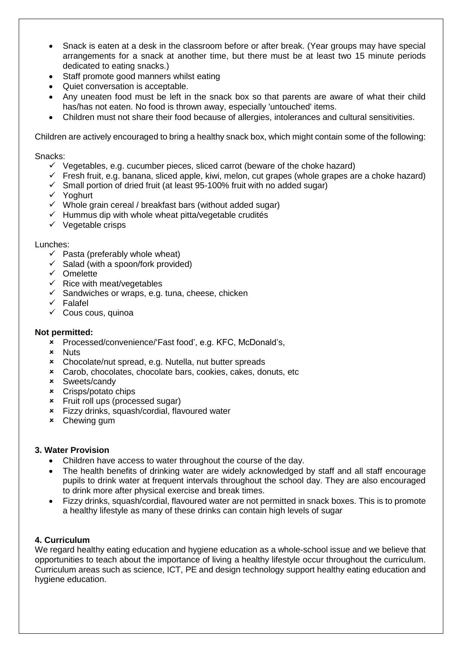- Snack is eaten at a desk in the classroom before or after break. (Year groups may have special arrangements for a snack at another time, but there must be at least two 15 minute periods dedicated to eating snacks.)
- Staff promote good manners whilst eating
- Quiet conversation is acceptable.
- Any uneaten food must be left in the snack box so that parents are aware of what their child has/has not eaten. No food is thrown away, especially 'untouched' items.
- Children must not share their food because of allergies, intolerances and cultural sensitivities.

Children are actively encouraged to bring a healthy snack box, which might contain some of the following:

#### Snacks:

- $\checkmark$  Vegetables, e.g. cucumber pieces, sliced carrot (beware of the choke hazard)
- $\checkmark$  Fresh fruit, e.g. banana, sliced apple, kiwi, melon, cut grapes (whole grapes are a choke hazard)
- $\checkmark$  Small portion of dried fruit (at least 95-100% fruit with no added sugar)
- Yoghurt
- $\checkmark$  Whole grain cereal / breakfast bars (without added sugar)
- $\checkmark$  Hummus dip with whole wheat pitta/vegetable crudités
- $\checkmark$  Vegetable crisps

#### Lunches:

- $\checkmark$  Pasta (preferably whole wheat)
- $\checkmark$  Salad (with a spoon/fork provided)
- $\times$  Omelette
- $\checkmark$  Rice with meat/vegetables
- $\checkmark$  Sandwiches or wraps, e.g. tuna, cheese, chicken
- $\checkmark$  Falafel
- $\checkmark$  Cous cous, quinoa

#### **Not permitted:**

- Processed/convenience/'Fast food', e.g. KFC, McDonald's,
- **x** Nuts
- Chocolate/nut spread, e.g. Nutella, nut butter spreads
- Carob, chocolates, chocolate bars, cookies, cakes, donuts, etc
- Sweets/candy
- Crisps/potato chips
- Fruit roll ups (processed sugar)
- Fizzy drinks, squash/cordial, flavoured water
- Chewing gum

## **3. Water Provision**

- Children have access to water throughout the course of the day.
- The health benefits of drinking water are widely acknowledged by staff and all staff encourage pupils to drink water at frequent intervals throughout the school day. They are also encouraged to drink more after physical exercise and break times.
- Fizzy drinks, squash/cordial, flavoured water are not permitted in snack boxes. This is to promote a healthy lifestyle as many of these drinks can contain high levels of sugar

## **4. Curriculum**

We regard healthy eating education and hygiene education as a whole-school issue and we believe that opportunities to teach about the importance of living a healthy lifestyle occur throughout the curriculum. Curriculum areas such as science, ICT, PE and design technology support healthy eating education and hygiene education.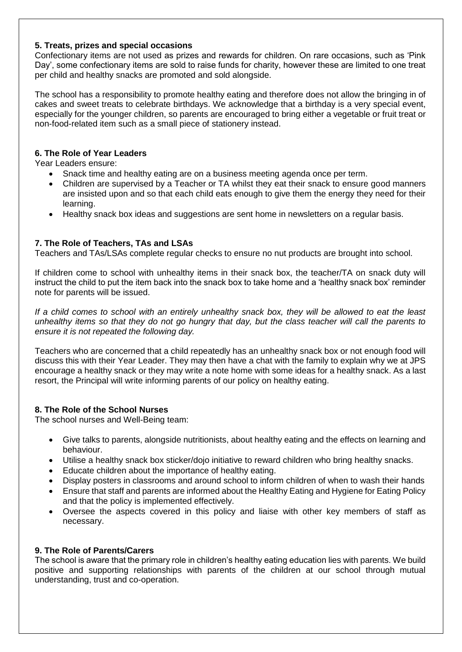# **5. Treats, prizes and special occasions**

Confectionary items are not used as prizes and rewards for children. On rare occasions, such as 'Pink Day', some confectionary items are sold to raise funds for charity, however these are limited to one treat per child and healthy snacks are promoted and sold alongside.

The school has a responsibility to promote healthy eating and therefore does not allow the bringing in of cakes and sweet treats to celebrate birthdays. We acknowledge that a birthday is a very special event, especially for the younger children, so parents are encouraged to bring either a vegetable or fruit treat or non-food-related item such as a small piece of stationery instead.

# **6. The Role of Year Leaders**

Year Leaders ensure:

- Snack time and healthy eating are on a business meeting agenda once per term.
- Children are supervised by a Teacher or TA whilst they eat their snack to ensure good manners are insisted upon and so that each child eats enough to give them the energy they need for their learning.
- Healthy snack box ideas and suggestions are sent home in newsletters on a regular basis.

# **7. The Role of Teachers, TAs and LSAs**

Teachers and TAs/LSAs complete regular checks to ensure no nut products are brought into school.

If children come to school with unhealthy items in their snack box, the teacher/TA on snack duty will instruct the child to put the item back into the snack box to take home and a 'healthy snack box' reminder note for parents will be issued.

*If a child comes to school with an entirely unhealthy snack box, they will be allowed to eat the least unhealthy items so that they do not go hungry that day, but the class teacher will call the parents to ensure it is not repeated the following day.* 

Teachers who are concerned that a child repeatedly has an unhealthy snack box or not enough food will discuss this with their Year Leader. They may then have a chat with the family to explain why we at JPS encourage a healthy snack or they may write a note home with some ideas for a healthy snack. As a last resort, the Principal will write informing parents of our policy on healthy eating.

## **8. The Role of the School Nurses**

The school nurses and Well-Being team:

- Give talks to parents, alongside nutritionists, about healthy eating and the effects on learning and behaviour.
- Utilise a healthy snack box sticker/dojo initiative to reward children who bring healthy snacks.
- Educate children about the importance of healthy eating.
- Display posters in classrooms and around school to inform children of when to wash their hands
- Ensure that staff and parents are informed about the Healthy Eating and Hygiene for Eating Policy and that the policy is implemented effectively.
- Oversee the aspects covered in this policy and liaise with other key members of staff as necessary.

## **9. The Role of Parents/Carers**

The school is aware that the primary role in children's healthy eating education lies with parents. We build positive and supporting relationships with parents of the children at our school through mutual understanding, trust and co-operation.